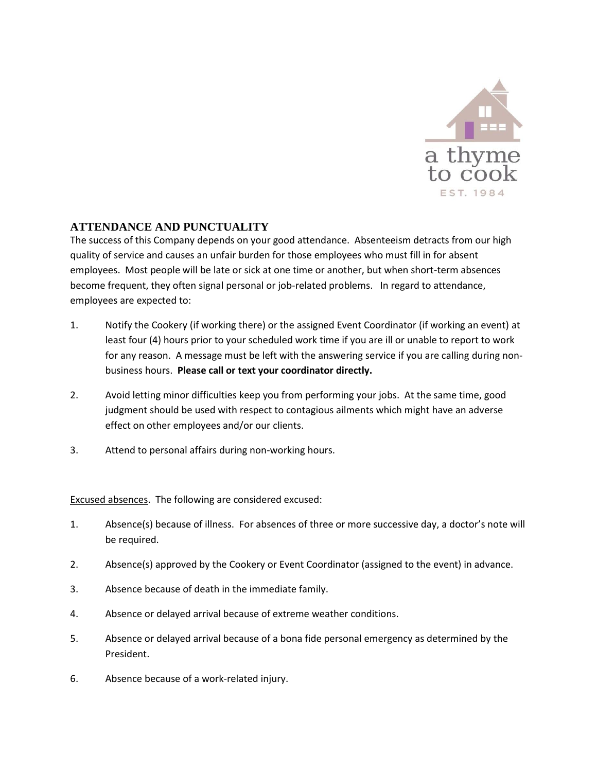

## **ATTENDANCE AND PUNCTUALITY**

The success of this Company depends on your good attendance. Absenteeism detracts from our high quality of service and causes an unfair burden for those employees who must fill in for absent employees. Most people will be late or sick at one time or another, but when short-term absences become frequent, they often signal personal or job-related problems. In regard to attendance, employees are expected to:

- 1. Notify the Cookery (if working there) or the assigned Event Coordinator (if working an event) at least four (4) hours prior to your scheduled work time if you are ill or unable to report to work for any reason. A message must be left with the answering service if you are calling during nonbusiness hours. **Please call or text your coordinator directly.**
- 2. Avoid letting minor difficulties keep you from performing your jobs. At the same time, good judgment should be used with respect to contagious ailments which might have an adverse effect on other employees and/or our clients.
- 3. Attend to personal affairs during non-working hours.

Excused absences. The following are considered excused:

- 1. Absence(s) because of illness. For absences of three or more successive day, a doctor's note will be required.
- 2. Absence(s) approved by the Cookery or Event Coordinator (assigned to the event) in advance.
- 3. Absence because of death in the immediate family.
- 4. Absence or delayed arrival because of extreme weather conditions.
- 5. Absence or delayed arrival because of a bona fide personal emergency as determined by the President.
- 6. Absence because of a work-related injury.